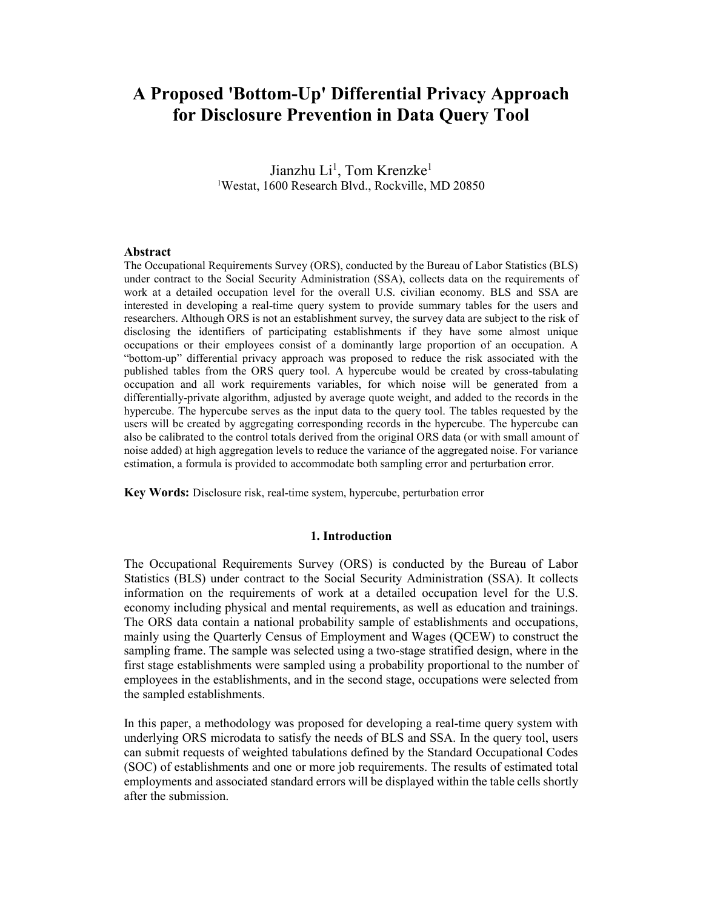# A Proposed 'Bottom-Up' Differential Privacy Approach for Disclosure Prevention in Data Query Tool

Jianzhu Li<sup>1</sup>, Tom Krenzke<sup>1</sup> <sup>1</sup>Westat, 1600 Research Blvd., Rockville, MD 20850

#### Abstract

The Occupational Requirements Survey (ORS), conducted by the Bureau of Labor Statistics (BLS) under contract to the Social Security Administration (SSA), collects data on the requirements of work at a detailed occupation level for the overall U.S. civilian economy. BLS and SSA are interested in developing a real-time query system to provide summary tables for the users and researchers. Although ORS is not an establishment survey, the survey data are subject to the risk of disclosing the identifiers of participating establishments if they have some almost unique occupations or their employees consist of a dominantly large proportion of an occupation. A "bottom-up" differential privacy approach was proposed to reduce the risk associated with the published tables from the ORS query tool. A hypercube would be created by cross-tabulating occupation and all work requirements variables, for which noise will be generated from a differentially-private algorithm, adjusted by average quote weight, and added to the records in the hypercube. The hypercube serves as the input data to the query tool. The tables requested by the users will be created by aggregating corresponding records in the hypercube. The hypercube can also be calibrated to the control totals derived from the original ORS data (or with small amount of noise added) at high aggregation levels to reduce the variance of the aggregated noise. For variance estimation, a formula is provided to accommodate both sampling error and perturbation error.

Key Words: Disclosure risk, real-time system, hypercube, perturbation error

#### 1. Introduction

The Occupational Requirements Survey (ORS) is conducted by the Bureau of Labor Statistics (BLS) under contract to the Social Security Administration (SSA). It collects information on the requirements of work at a detailed occupation level for the U.S. economy including physical and mental requirements, as well as education and trainings. The ORS data contain a national probability sample of establishments and occupations, mainly using the Quarterly Census of Employment and Wages (QCEW) to construct the sampling frame. The sample was selected using a two-stage stratified design, where in the first stage establishments were sampled using a probability proportional to the number of employees in the establishments, and in the second stage, occupations were selected from the sampled establishments.

In this paper, a methodology was proposed for developing a real-time query system with underlying ORS microdata to satisfy the needs of BLS and SSA. In the query tool, users can submit requests of weighted tabulations defined by the Standard Occupational Codes (SOC) of establishments and one or more job requirements. The results of estimated total employments and associated standard errors will be displayed within the table cells shortly after the submission.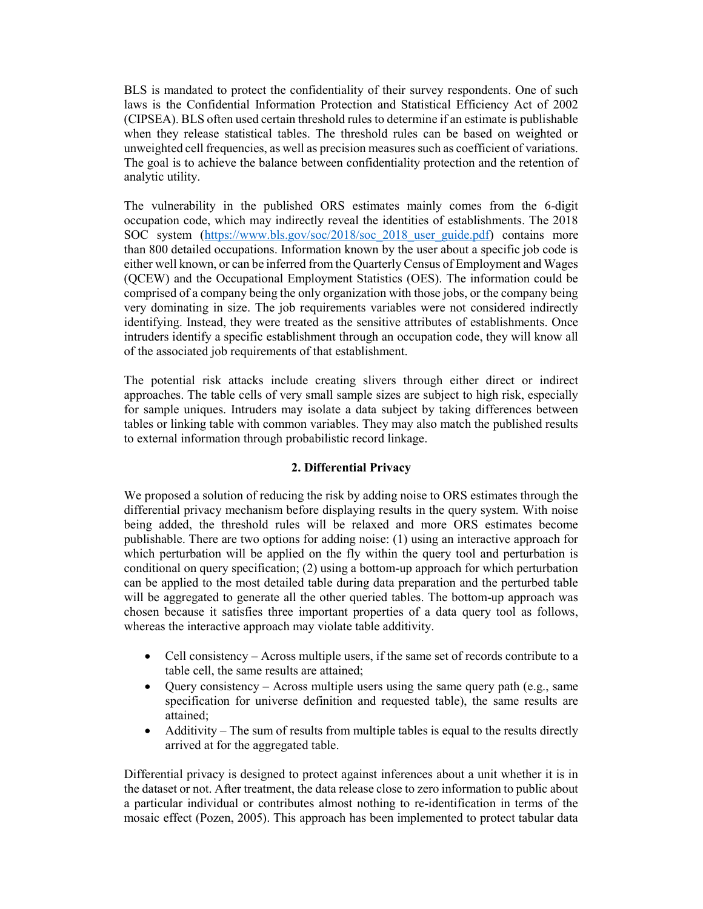BLS is mandated to protect the confidentiality of their survey respondents. One of such laws is the Confidential Information Protection and Statistical Efficiency Act of 2002 (CIPSEA). BLS often used certain threshold rules to determine if an estimate is publishable when they release statistical tables. The threshold rules can be based on weighted or unweighted cell frequencies, as well as precision measures such as coefficient of variations. The goal is to achieve the balance between confidentiality protection and the retention of analytic utility.

The vulnerability in the published ORS estimates mainly comes from the 6-digit occupation code, which may indirectly reveal the identities of establishments. The 2018 SOC system (https://www.bls.gov/soc/2018/soc\_2018\_user\_guide.pdf) contains more than 800 detailed occupations. Information known by the user about a specific job code is either well known, or can be inferred from the Quarterly Census of Employment and Wages (QCEW) and the Occupational Employment Statistics (OES). The information could be comprised of a company being the only organization with those jobs, or the company being very dominating in size. The job requirements variables were not considered indirectly identifying. Instead, they were treated as the sensitive attributes of establishments. Once intruders identify a specific establishment through an occupation code, they will know all of the associated job requirements of that establishment.

The potential risk attacks include creating slivers through either direct or indirect approaches. The table cells of very small sample sizes are subject to high risk, especially for sample uniques. Intruders may isolate a data subject by taking differences between tables or linking table with common variables. They may also match the published results to external information through probabilistic record linkage.

## 2. Differential Privacy

We proposed a solution of reducing the risk by adding noise to ORS estimates through the differential privacy mechanism before displaying results in the query system. With noise being added, the threshold rules will be relaxed and more ORS estimates become publishable. There are two options for adding noise: (1) using an interactive approach for which perturbation will be applied on the fly within the query tool and perturbation is conditional on query specification; (2) using a bottom-up approach for which perturbation can be applied to the most detailed table during data preparation and the perturbed table will be aggregated to generate all the other queried tables. The bottom-up approach was chosen because it satisfies three important properties of a data query tool as follows, whereas the interactive approach may violate table additivity.

- Cell consistency Across multiple users, if the same set of records contribute to a table cell, the same results are attained;
- $\bullet$  Ouery consistency Across multiple users using the same query path (e.g., same specification for universe definition and requested table), the same results are attained;
- Additivity The sum of results from multiple tables is equal to the results directly arrived at for the aggregated table.

Differential privacy is designed to protect against inferences about a unit whether it is in the dataset or not. After treatment, the data release close to zero information to public about a particular individual or contributes almost nothing to re-identification in terms of the mosaic effect (Pozen, 2005). This approach has been implemented to protect tabular data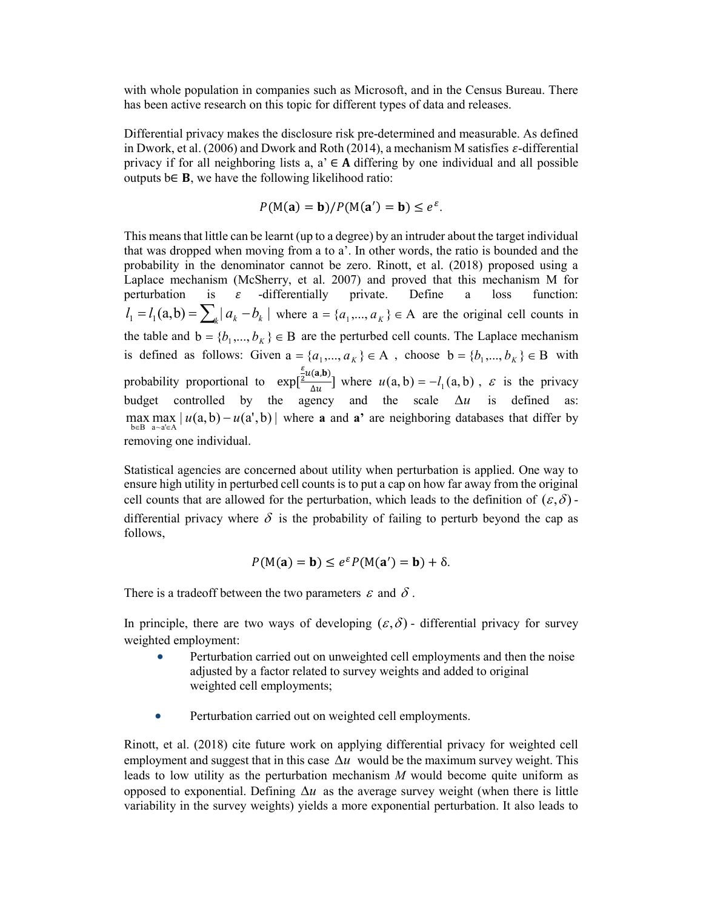with whole population in companies such as Microsoft, and in the Census Bureau. There has been active research on this topic for different types of data and releases.

Differential privacy makes the disclosure risk pre-determined and measurable. As defined in Dwork, et al. (2006) and Dwork and Roth (2014), a mechanism M satisfies  $\varepsilon$ -differential privacy if for all neighboring lists a,  $a \in A$  differing by one individual and all possible outputs  $b \in B$ , we have the following likelihood ratio:

$$
P(M(a) = b)/P(M(a') = b) \le e^{\varepsilon}.
$$

This means that little can be learnt (up to a degree) by an intruder about the target individual that was dropped when moving from a to a'. In other words, the ratio is bounded and the probability in the denominator cannot be zero. Rinott, et al. (2018) proposed using a Laplace mechanism (McSherry, et al. 2007) and proved that this mechanism M for perturbation is  $\varepsilon$  -differentially private. Define a loss function:  $l_1 = l_1(a,b) = \sum_{k} |a_k - b_k|$  where  $a = \{a_1,..., a_k\} \in A$  are the original cell counts in the table and  $b = \{b_1, ..., b_K\} \in B$  are the perturbed cell counts. The Laplace mechanism is defined as follows: Given  $a = \{a_1, ..., a_K\} \in A$ , choose  $b = \{b_1, ..., b_K\} \in B$  with probability proportional to exp[  $\varepsilon$  $\frac{\epsilon}{2}u(\mathbf{a},\mathbf{b})$  $\frac{\Delta(u, b)}{\Delta u}$  where  $u(a, b) = -l_1(a, b)$ ,  $\varepsilon$  is the privacy budget controlled by the agency and the scale  $\Delta u$  is defined as: max max  $|u(a,b) - u(a',b)|$  where **a** and **a**' are neighboring databases that differ by  $b \in B$  a~a' $\in A$ removing one individual.

Statistical agencies are concerned about utility when perturbation is applied. One way to ensure high utility in perturbed cell counts is to put a cap on how far away from the original cell counts that are allowed for the perturbation, which leads to the definition of  $(\varepsilon, \delta)$ . differential privacy where  $\delta$  is the probability of failing to perturb beyond the cap as follows,

$$
P(M(a) = b) \le e^{\varepsilon} P(M(a') = b) + \delta.
$$

There is a tradeoff between the two parameters  $\varepsilon$  and  $\delta$ .

In principle, there are two ways of developing  $(\varepsilon, \delta)$  - differential privacy for survey weighted employment:

- Perturbation carried out on unweighted cell employments and then the noise adjusted by a factor related to survey weights and added to original weighted cell employments;
- Perturbation carried out on weighted cell employments.

Rinott, et al. (2018) cite future work on applying differential privacy for weighted cell employment and suggest that in this case  $\Delta u$  would be the maximum survey weight. This leads to low utility as the perturbation mechanism  $M$  would become quite uniform as opposed to exponential. Defining  $\Delta u$  as the average survey weight (when there is little variability in the survey weights) yields a more exponential perturbation. It also leads to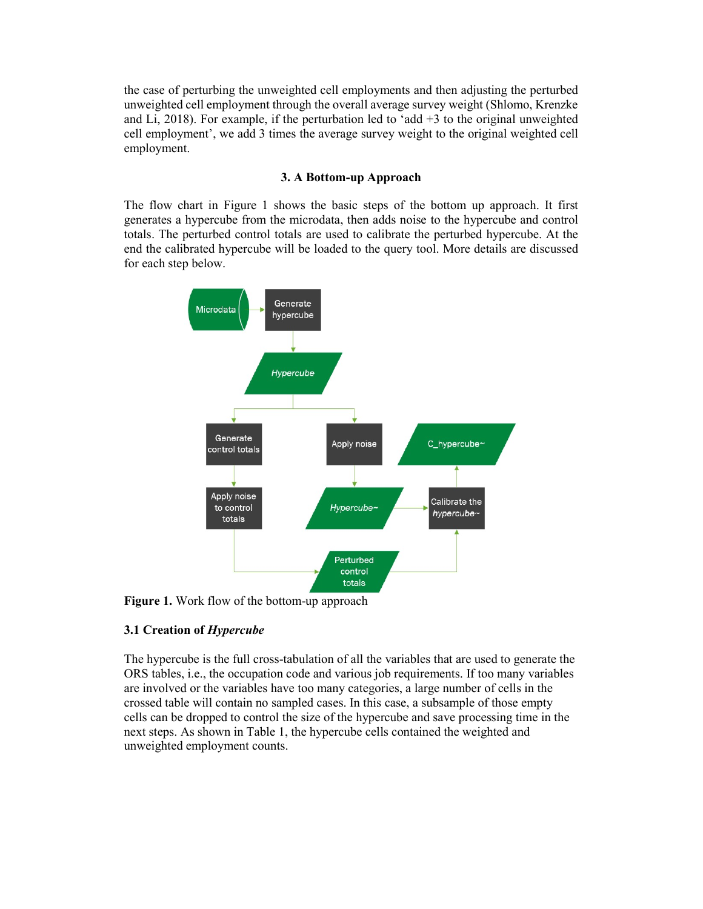the case of perturbing the unweighted cell employments and then adjusting the perturbed unweighted cell employment through the overall average survey weight (Shlomo, Krenzke and Li, 2018). For example, if the perturbation led to 'add  $+3$  to the original unweighted cell employment', we add 3 times the average survey weight to the original weighted cell employment.

## 3. A Bottom-up Approach

The flow chart in Figure 1 shows the basic steps of the bottom up approach. It first generates a hypercube from the microdata, then adds noise to the hypercube and control totals. The perturbed control totals are used to calibrate the perturbed hypercube. At the end the calibrated hypercube will be loaded to the query tool. More details are discussed for each step below.



Figure 1. Work flow of the bottom-up approach

## 3.1 Creation of Hypercube

The hypercube is the full cross-tabulation of all the variables that are used to generate the ORS tables, i.e., the occupation code and various job requirements. If too many variables are involved or the variables have too many categories, a large number of cells in the crossed table will contain no sampled cases. In this case, a subsample of those empty cells can be dropped to control the size of the hypercube and save processing time in the next steps. As shown in Table 1, the hypercube cells contained the weighted and unweighted employment counts.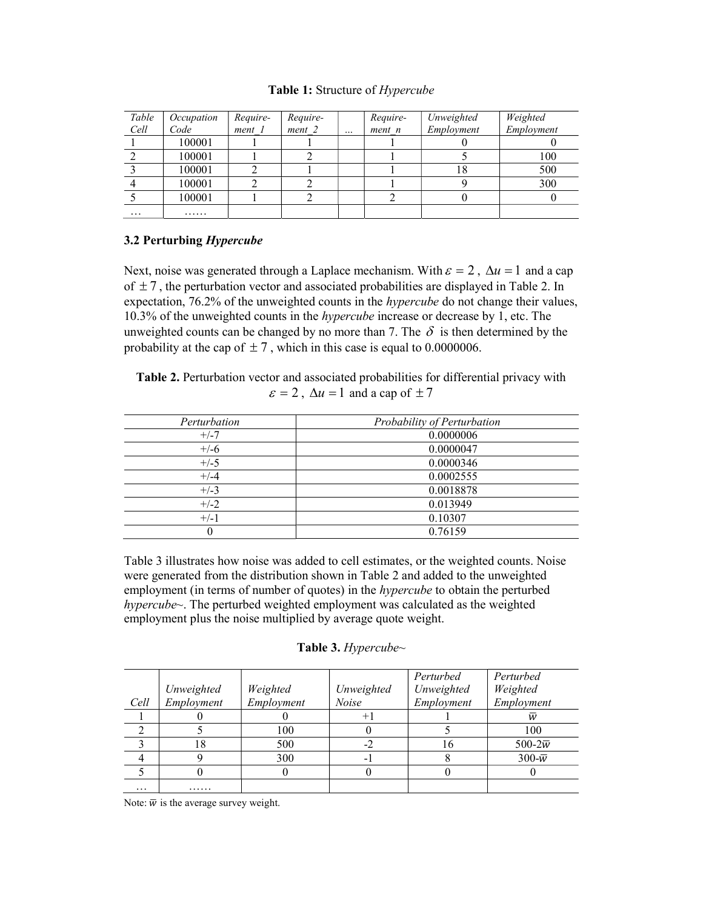#### Table 1: Structure of Hypercube

| Table<br>Cell | Occupation<br>Code | Require-<br>$ment$ $1$ | Require-<br>ment 2 | $\ddotsc$ | Require-<br>$ment$ $n$ | Unweighted<br>Employment | Weighted<br>Employment |
|---------------|--------------------|------------------------|--------------------|-----------|------------------------|--------------------------|------------------------|
|               | 100001             |                        |                    |           |                        |                          |                        |
|               | 100001             |                        |                    |           |                        |                          | 100                    |
|               | 100001             |                        |                    |           |                        | 18                       | 500                    |
|               | 100001             |                        |                    |           |                        |                          | 300                    |
|               | 100001             |                        |                    |           |                        |                          |                        |
| $\cdots$      | .                  |                        |                    |           |                        |                          |                        |

## 3.2 Perturbing Hypercube

Next, noise was generated through a Laplace mechanism. With  $\varepsilon = 2$ ,  $\Delta u = 1$  and a cap of  $\pm 7$ , the perturbation vector and associated probabilities are displayed in Table 2. In expectation, 76.2% of the unweighted counts in the *hypercube* do not change their values, 10.3% of the unweighted counts in the hypercube increase or decrease by 1, etc. The unweighted counts can be changed by no more than 7. The  $\delta$  is then determined by the probability at the cap of  $\pm 7$ , which in this case is equal to 0.0000006.

Table 2. Perturbation vector and associated probabilities for differential privacy with  $\varepsilon = 2$ ,  $\Delta u = 1$  and a cap of  $\pm 7$ 

| Perturbation | Probability of Perturbation |
|--------------|-----------------------------|
| $+/-7$       | 0.0000006                   |
| $+/-6$       | 0.0000047                   |
| $+/-5$       | 0.0000346                   |
| $+/-4$       | 0.0002555                   |
| $+/-3$       | 0.0018878                   |
| $+/-2$       | 0.013949                    |
| $+/-1$       | 0.10307                     |
| $\theta$     | 0.76159                     |

Table 3 illustrates how noise was added to cell estimates, or the weighted counts. Noise were generated from the distribution shown in Table 2 and added to the unweighted employment (in terms of number of quotes) in the *hypercube* to obtain the perturbed hypercube~. The perturbed weighted employment was calculated as the weighted employment plus the noise multiplied by average quote weight.

|  | Table 3. Hypercube~ |         |
|--|---------------------|---------|
|  |                     | Porturl |

|          |            |            |              | Perturbed  | Perturbed            |
|----------|------------|------------|--------------|------------|----------------------|
|          | Unweighted | Weighted   | Unweighted   | Unweighted | Weighted             |
| Cell     | Employment | Employment | <b>Noise</b> | Employment | Employment           |
|          |            |            | $+1$         |            | w                    |
|          |            | 100        |              |            | 100                  |
|          | 18         | 500        | $-2$         | I O        | 500-2 $\overline{w}$ |
|          |            | 300        | -            |            | $300-\overline{w}$   |
|          |            |            |              |            |                      |
| $\cdots$ | .          |            |              |            |                      |

Note:  $\overline{w}$  is the average survey weight.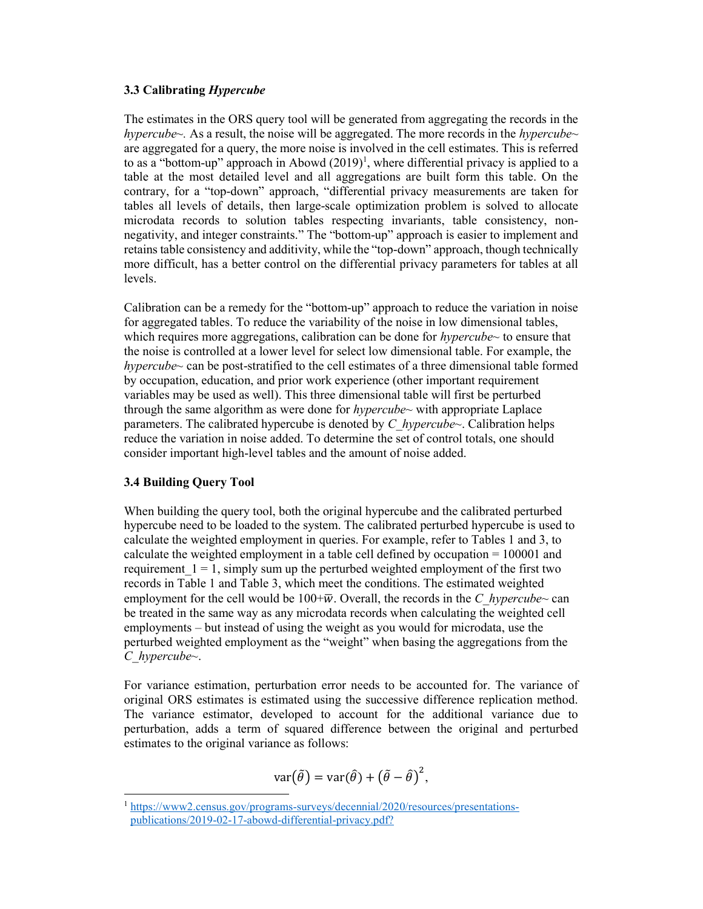## 3.3 Calibrating Hypercube

The estimates in the ORS query tool will be generated from aggregating the records in the hypercube  $\sim$ . As a result, the noise will be aggregated. The more records in the hypercube $\sim$ are aggregated for a query, the more noise is involved in the cell estimates. This is referred to as a "bottom-up" approach in Abowd  $(2019)^1$ , where differential privacy is applied to a table at the most detailed level and all aggregations are built form this table. On the contrary, for a "top-down" approach, "differential privacy measurements are taken for tables all levels of details, then large-scale optimization problem is solved to allocate microdata records to solution tables respecting invariants, table consistency, nonnegativity, and integer constraints." The "bottom-up" approach is easier to implement and retains table consistency and additivity, while the "top-down" approach, though technically more difficult, has a better control on the differential privacy parameters for tables at all levels.

Calibration can be a remedy for the "bottom-up" approach to reduce the variation in noise for aggregated tables. To reduce the variability of the noise in low dimensional tables, which requires more aggregations, calibration can be done for  $hypercube<sub>~</sub>$  to ensure that the noise is controlled at a lower level for select low dimensional table. For example, the hypercube~ can be post-stratified to the cell estimates of a three dimensional table formed by occupation, education, and prior work experience (other important requirement variables may be used as well). This three dimensional table will first be perturbed through the same algorithm as were done for  $hypercube \sim$  with appropriate Laplace parameters. The calibrated hypercube is denoted by C\_hypercube~. Calibration helps reduce the variation in noise added. To determine the set of control totals, one should consider important high-level tables and the amount of noise added.

## 3.4 Building Query Tool

 $\overline{a}$ 

When building the query tool, both the original hypercube and the calibrated perturbed hypercube need to be loaded to the system. The calibrated perturbed hypercube is used to calculate the weighted employment in queries. For example, refer to Tables 1 and 3, to calculate the weighted employment in a table cell defined by occupation = 100001 and requirement  $1 = 1$ , simply sum up the perturbed weighted employment of the first two records in Table 1 and Table 3, which meet the conditions. The estimated weighted employment for the cell would be  $100+\overline{w}$ . Overall, the records in the C hypercube~ can be treated in the same way as any microdata records when calculating the weighted cell employments – but instead of using the weight as you would for microdata, use the perturbed weighted employment as the "weight" when basing the aggregations from the  $C$  hypercube~.

For variance estimation, perturbation error needs to be accounted for. The variance of original ORS estimates is estimated using the successive difference replication method. The variance estimator, developed to account for the additional variance due to perturbation, adds a term of squared difference between the original and perturbed estimates to the original variance as follows:

$$
var(\tilde{\theta}) = var(\hat{\theta}) + (\tilde{\theta} - \hat{\theta})^2,
$$

<sup>1</sup> https://www2.census.gov/programs-surveys/decennial/2020/resources/presentationspublications/2019-02-17-abowd-differential-privacy.pdf?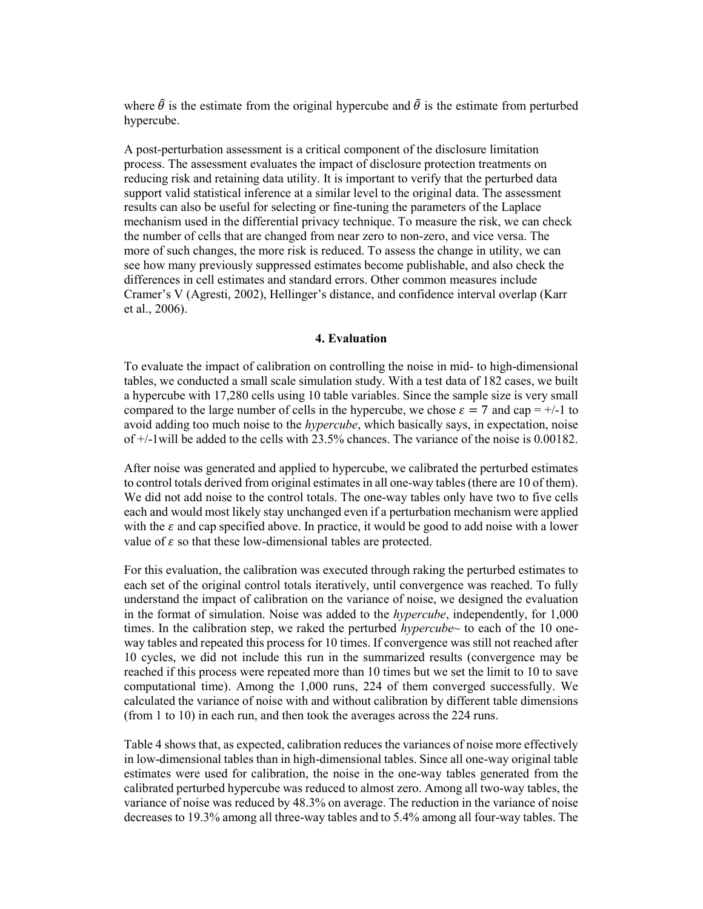where  $\hat{\theta}$  is the estimate from the original hypercube and  $\tilde{\theta}$  is the estimate from perturbed hypercube.

A post-perturbation assessment is a critical component of the disclosure limitation process. The assessment evaluates the impact of disclosure protection treatments on reducing risk and retaining data utility. It is important to verify that the perturbed data support valid statistical inference at a similar level to the original data. The assessment results can also be useful for selecting or fine-tuning the parameters of the Laplace mechanism used in the differential privacy technique. To measure the risk, we can check the number of cells that are changed from near zero to non-zero, and vice versa. The more of such changes, the more risk is reduced. To assess the change in utility, we can see how many previously suppressed estimates become publishable, and also check the differences in cell estimates and standard errors. Other common measures include Cramer's V (Agresti, 2002), Hellinger's distance, and confidence interval overlap (Karr et al., 2006).

#### 4. Evaluation

To evaluate the impact of calibration on controlling the noise in mid- to high-dimensional tables, we conducted a small scale simulation study. With a test data of 182 cases, we built a hypercube with 17,280 cells using 10 table variables. Since the sample size is very small compared to the large number of cells in the hypercube, we chose  $\varepsilon = 7$  and cap = +/-1 to avoid adding too much noise to the *hypercube*, which basically says, in expectation, noise of +/-1will be added to the cells with 23.5% chances. The variance of the noise is 0.00182.

After noise was generated and applied to hypercube, we calibrated the perturbed estimates to control totals derived from original estimates in all one-way tables (there are 10 of them). We did not add noise to the control totals. The one-way tables only have two to five cells each and would most likely stay unchanged even if a perturbation mechanism were applied with the  $\varepsilon$  and cap specified above. In practice, it would be good to add noise with a lower value of  $\varepsilon$  so that these low-dimensional tables are protected.

For this evaluation, the calibration was executed through raking the perturbed estimates to each set of the original control totals iteratively, until convergence was reached. To fully understand the impact of calibration on the variance of noise, we designed the evaluation in the format of simulation. Noise was added to the hypercube, independently, for 1,000 times. In the calibration step, we raked the perturbed *hypercube* $\sim$  to each of the 10 oneway tables and repeated this process for 10 times. If convergence was still not reached after 10 cycles, we did not include this run in the summarized results (convergence may be reached if this process were repeated more than 10 times but we set the limit to 10 to save computational time). Among the 1,000 runs, 224 of them converged successfully. We calculated the variance of noise with and without calibration by different table dimensions (from 1 to 10) in each run, and then took the averages across the 224 runs.

Table 4 shows that, as expected, calibration reduces the variances of noise more effectively in low-dimensional tables than in high-dimensional tables. Since all one-way original table estimates were used for calibration, the noise in the one-way tables generated from the calibrated perturbed hypercube was reduced to almost zero. Among all two-way tables, the variance of noise was reduced by 48.3% on average. The reduction in the variance of noise decreases to 19.3% among all three-way tables and to 5.4% among all four-way tables. The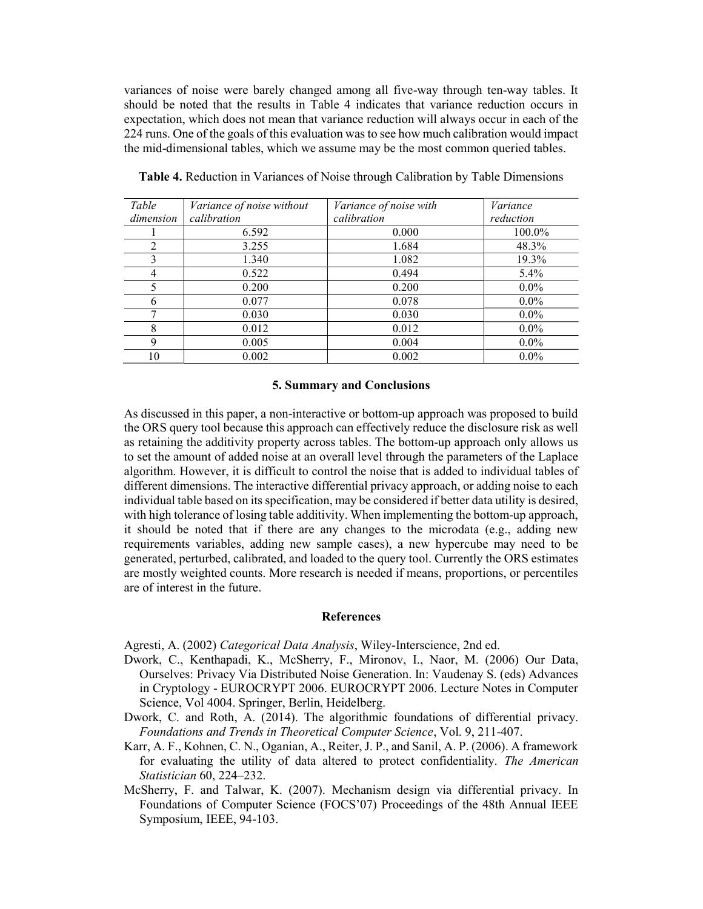variances of noise were barely changed among all five-way through ten-way tables. It should be noted that the results in Table 4 indicates that variance reduction occurs in expectation, which does not mean that variance reduction will always occur in each of the 224 runs. One of the goals of this evaluation was to see how much calibration would impact the mid-dimensional tables, which we assume may be the most common queried tables.

| Table     | Variance of noise without | Variance of noise with | Variance  |
|-----------|---------------------------|------------------------|-----------|
| dimension | calibration               | calibration            | reduction |
|           | 6.592                     | 0.000                  | 100.0%    |
|           | 3.255                     | 1.684                  | 48.3%     |
|           | 1.340                     | 1.082                  | 19.3%     |
| 4         | 0.522                     | 0.494                  | $5.4\%$   |
|           | 0.200                     | 0.200                  | $0.0\%$   |
|           | 0.077                     | 0.078                  | $0.0\%$   |
|           | 0.030                     | 0.030                  | $0.0\%$   |
| 8         | 0.012                     | 0.012                  | $0.0\%$   |
| 9         | 0.005                     | 0.004                  | $0.0\%$   |
| 10        | 0.002                     | 0.002                  | $0.0\%$   |

Table 4. Reduction in Variances of Noise through Calibration by Table Dimensions

#### 5. Summary and Conclusions

As discussed in this paper, a non-interactive or bottom-up approach was proposed to build the ORS query tool because this approach can effectively reduce the disclosure risk as well as retaining the additivity property across tables. The bottom-up approach only allows us to set the amount of added noise at an overall level through the parameters of the Laplace algorithm. However, it is difficult to control the noise that is added to individual tables of different dimensions. The interactive differential privacy approach, or adding noise to each individual table based on its specification, may be considered if better data utility is desired, with high tolerance of losing table additivity. When implementing the bottom-up approach, it should be noted that if there are any changes to the microdata (e.g., adding new requirements variables, adding new sample cases), a new hypercube may need to be generated, perturbed, calibrated, and loaded to the query tool. Currently the ORS estimates are mostly weighted counts. More research is needed if means, proportions, or percentiles are of interest in the future.

#### References

Agresti, A. (2002) Categorical Data Analysis, Wiley-Interscience, 2nd ed.

- Dwork, C., Kenthapadi, K., McSherry, F., Mironov, I., Naor, M. (2006) Our Data, Ourselves: Privacy Via Distributed Noise Generation. In: Vaudenay S. (eds) Advances in Cryptology - EUROCRYPT 2006. EUROCRYPT 2006. Lecture Notes in Computer Science, Vol 4004. Springer, Berlin, Heidelberg.
- Dwork, C. and Roth, A. (2014). The algorithmic foundations of differential privacy. Foundations and Trends in Theoretical Computer Science, Vol. 9, 211-407.
- Karr, A. F., Kohnen, C. N., Oganian, A., Reiter, J. P., and Sanil, A. P. (2006). A framework for evaluating the utility of data altered to protect confidentiality. The American Statistician 60, 224–232.
- McSherry, F. and Talwar, K. (2007). Mechanism design via differential privacy. In Foundations of Computer Science (FOCS'07) Proceedings of the 48th Annual IEEE Symposium, IEEE, 94-103.